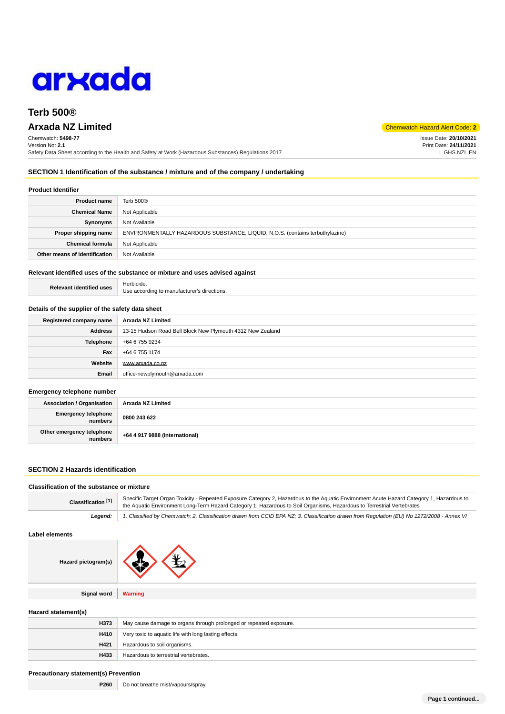

# **Terb 500®**

# **Arxada NZ Limited** Chemwatch Hazard Alert Code: **2**

Chemwatch: **5498-77** Version No: **2.1** Safety Data Sheet according to the Health and Safety at Work (Hazardous Substances) Regulations 2017

**SECTION 1 Identification of the substance / mixture and of the company / undertaking**

#### **Product Identifier**

| <b>Product name</b>           | Terb 500 <sup>®</sup>                                                         |
|-------------------------------|-------------------------------------------------------------------------------|
| <b>Chemical Name</b>          | Not Applicable                                                                |
| Synonyms                      | Not Available                                                                 |
| Proper shipping name          | ENVIRONMENTALLY HAZARDOUS SUBSTANCE, LIQUID, N.O.S. (contains terbuthylazine) |
| <b>Chemical formula</b>       | Not Applicable                                                                |
| Other means of identification | Not Available                                                                 |

## **Relevant identified uses of the substance or mixture and uses advised against**

| <b>Relevant identified uses</b> | Herbicide.                                  |
|---------------------------------|---------------------------------------------|
|                                 | Use according to manufacturer's directions. |

#### **Details of the supplier of the safety data sheet**

| Registered company name | Arxada NZ Limited                                          |  |
|-------------------------|------------------------------------------------------------|--|
| <b>Address</b>          | 13-15 Hudson Road Bell Block New Plymouth 4312 New Zealand |  |
| <b>Telephone</b>        | +64 6 755 9234                                             |  |
| Fax                     | +64 6 755 1174                                             |  |
| Website                 | www.arxada.co.nz                                           |  |
| Email                   | office-newplymouth@arxada.com                              |  |

#### **Emergency telephone number**

| <b>Association / Organisation</b>    | Arxada NZ Limited              |
|--------------------------------------|--------------------------------|
| Emergency telephone<br>numbers       | 0800 243 622                   |
| Other emergency telephone<br>numbers | +64 4 917 9888 (International) |

## **SECTION 2 Hazards identification**

#### **Classification of the substance or mixture**

| Classification [1] | Specific Target Organ Toxicity - Repeated Exposure Category 2, Hazardous to the Aquatic Environment Acute Hazard Category 1, Hazardous to<br>the Aquatic Environment Long-Term Hazard Category 1, Hazardous to Soil Organisms, Hazardous to Terrestrial Vertebrates |  |
|--------------------|---------------------------------------------------------------------------------------------------------------------------------------------------------------------------------------------------------------------------------------------------------------------|--|
| Leaend:            | 1. Classified by Chemwatch; 2. Classification drawn from CCID EPA NZ; 3. Classification drawn from Regulation (EU) No 1272/2008 - Annex VI                                                                                                                          |  |

## **Label elements**

| Hazard pictogram(s) |                |
|---------------------|----------------|
|                     |                |
| Signal word         | <b>Warning</b> |
|                     |                |

## **Hazard statement(s)**

| H373 | May cause damage to organs through prolonged or repeated exposure. |
|------|--------------------------------------------------------------------|
| H410 | Very toxic to aquatic life with long lasting effects.              |
| H421 | Hazardous to soil organisms.                                       |
| H433 | Hazardous to terrestrial vertebrates.                              |

#### **Precautionary statement(s) Prevention**

| <b>P260</b> | Do not breathe mist/vapours/spray. |
|-------------|------------------------------------|
|-------------|------------------------------------|

Issue Date: **20/10/2021** Print Date: **24/11/2021** L.GHS.NZL.EN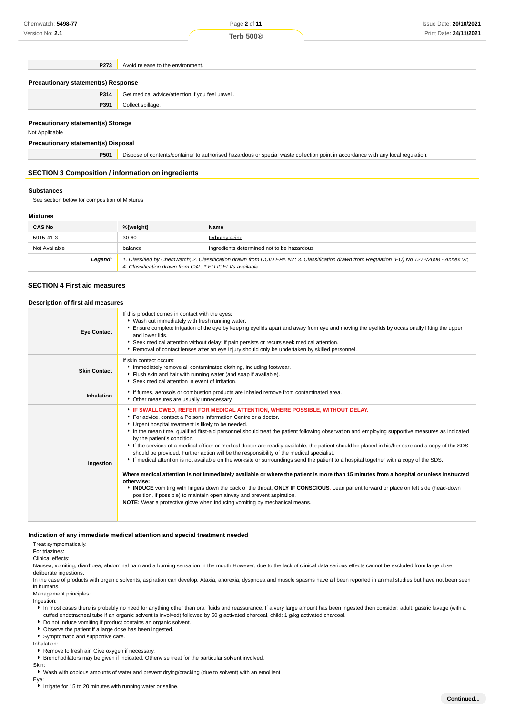**Terb 500®**

**P273** Avoid release to the environment.

| Precautionary statement(s) Response |                                                  |
|-------------------------------------|--------------------------------------------------|
| P314                                | Get medical advice/attention if you feel unwell. |
| P391                                | Collect spillage.                                |
|                                     |                                                  |

## **Precautionary statement(s) Storage**

Not Applicable

## **Precautionary statement(s) Disposal**

**P501** Dispose of contents/container to authorised hazardous or special waste collection point in accordance with any local regulation.

#### **SECTION 3 Composition / information on ingredients**

#### **Substances**

See section below for composition of Mixtures

#### **Mixtures**

| <b>CAS No</b> | %[weight]                                              | Name                                                                                                                                        |
|---------------|--------------------------------------------------------|---------------------------------------------------------------------------------------------------------------------------------------------|
| 5915-41-3     | $30 - 60$                                              | terbuthylazine                                                                                                                              |
| Not Available | balance                                                | Ingredients determined not to be hazardous                                                                                                  |
| Legend:       | 4. Classification drawn from C&L * EU IOELVs available | 1. Classified by Chemwatch; 2. Classification drawn from CCID EPA NZ; 3. Classification drawn from Regulation (EU) No 1272/2008 - Annex VI; |

#### **SECTION 4 First aid measures**

#### **Description of first aid measures**

| <b>Eye Contact</b>  | If this product comes in contact with the eyes:<br>• Wash out immediately with fresh running water.<br>Ensure complete irrigation of the eye by keeping eyelids apart and away from eye and moving the eyelids by occasionally lifting the upper<br>and lower lids.<br>Seek medical attention without delay; if pain persists or recurs seek medical attention.<br>▶ Removal of contact lenses after an eye injury should only be undertaken by skilled personnel.                                                                                                                                                                                                                                                                                                                                                                                                                                                                                                                                                                                                                                                                                                                                                                    |
|---------------------|---------------------------------------------------------------------------------------------------------------------------------------------------------------------------------------------------------------------------------------------------------------------------------------------------------------------------------------------------------------------------------------------------------------------------------------------------------------------------------------------------------------------------------------------------------------------------------------------------------------------------------------------------------------------------------------------------------------------------------------------------------------------------------------------------------------------------------------------------------------------------------------------------------------------------------------------------------------------------------------------------------------------------------------------------------------------------------------------------------------------------------------------------------------------------------------------------------------------------------------|
| <b>Skin Contact</b> | If skin contact occurs:<br>Inmediately remove all contaminated clothing, including footwear.<br>Flush skin and hair with running water (and soap if available).<br>Seek medical attention in event of irritation.                                                                                                                                                                                                                                                                                                                                                                                                                                                                                                                                                                                                                                                                                                                                                                                                                                                                                                                                                                                                                     |
| Inhalation          | If fumes, aerosols or combustion products are inhaled remove from contaminated area.<br>• Other measures are usually unnecessary.                                                                                                                                                                                                                                                                                                                                                                                                                                                                                                                                                                                                                                                                                                                                                                                                                                                                                                                                                                                                                                                                                                     |
| Ingestion           | FIF SWALLOWED, REFER FOR MEDICAL ATTENTION, WHERE POSSIBLE, WITHOUT DELAY.<br>For advice, contact a Poisons Information Centre or a doctor.<br>Urgent hospital treatment is likely to be needed.<br>In the mean time, qualified first-aid personnel should treat the patient following observation and employing supportive measures as indicated<br>by the patient's condition.<br>If the services of a medical officer or medical doctor are readily available, the patient should be placed in his/her care and a copy of the SDS<br>should be provided. Further action will be the responsibility of the medical specialist.<br>If medical attention is not available on the worksite or surroundings send the patient to a hospital together with a copy of the SDS.<br>Where medical attention is not immediately available or where the patient is more than 15 minutes from a hospital or unless instructed<br>otherwise:<br>INDUCE vomiting with fingers down the back of the throat, ONLY IF CONSCIOUS. Lean patient forward or place on left side (head-down<br>position, if possible) to maintain open airway and prevent aspiration.<br><b>NOTE:</b> Wear a protective glove when inducing vomiting by mechanical means. |

#### **Indication of any immediate medical attention and special treatment needed**

Treat symptomatically.

# For triazines:

Clinical effects:

Nausea, vomiting, diarrhoea, abdominal pain and a burning sensation in the mouth.However, due to the lack of clinical data serious effects cannot be excluded from large dose

deliberate ingestions.

In the case of products with organic solvents, aspiration can develop. Ataxia, anorexia, dyspnoea and muscle spasms have all been reported in animal studies but have not been seen in humans.

Management principles:

Ingestion:

In most cases there is probably no need for anything other than oral fluids and reassurance. If a very large amount has been ingested then consider: adult: gastric lavage (with a cuffed endotracheal tube if an organic solvent is involved) followed by 50 g activated charcoal, child: 1 g/kg activated charcoal.

Do not induce vomiting if product contains an organic solvent.

Observe the patient if a large dose has been ingested.

Symptomatic and supportive care.

Inhalation:

Remove to fresh air. Give oxygen if necessary.

Bronchodilators may be given if indicated. Otherwise treat for the particular solvent involved.

Skin:

Wash with copious amounts of water and prevent drying/cracking (due to solvent) with an emollient

Eye:

► Irrigate for 15 to 20 minutes with running water or saline.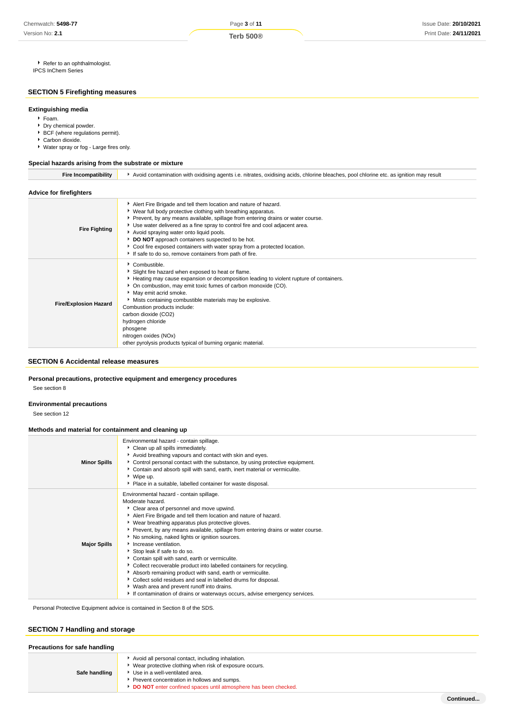Page **3** of **11**

**Terb 500®**

Refer to an ophthalmologist. IPCS InChem Series

# **SECTION 5 Firefighting measures**

## **Extinguishing media**

- Foam.
- Dry chemical powder.
- **BCF** (where regulations permit).
- Carbon dioxide.
- Water spray or fog Large fires only.

#### **Special hazards arising from the substrate or mixture**

| <b>Fire Incompatibility</b>    | Avoid contamination with oxidising agents i.e. nitrates, oxidising acids, chlorine bleaches, pool chlorine etc. as ignition may result                                                                                                                                                                                                                                                                                                                                                                                                    |  |  |
|--------------------------------|-------------------------------------------------------------------------------------------------------------------------------------------------------------------------------------------------------------------------------------------------------------------------------------------------------------------------------------------------------------------------------------------------------------------------------------------------------------------------------------------------------------------------------------------|--|--|
| <b>Advice for firefighters</b> |                                                                                                                                                                                                                                                                                                                                                                                                                                                                                                                                           |  |  |
| <b>Fire Fighting</b>           | Alert Fire Brigade and tell them location and nature of hazard.<br>▶ Wear full body protective clothing with breathing apparatus.<br>▶ Prevent, by any means available, spillage from entering drains or water course.<br>Use water delivered as a fine spray to control fire and cool adjacent area.<br>Avoid spraying water onto liquid pools.<br>DO NOT approach containers suspected to be hot.<br>Cool fire exposed containers with water spray from a protected location.<br>If safe to do so, remove containers from path of fire. |  |  |
| <b>Fire/Explosion Hazard</b>   | Combustible.<br>Slight fire hazard when exposed to heat or flame.<br>Heating may cause expansion or decomposition leading to violent rupture of containers.<br>• On combustion, may emit toxic fumes of carbon monoxide (CO).<br>May emit acrid smoke.<br>Mists containing combustible materials may be explosive.<br>Combustion products include:<br>carbon dioxide (CO2)<br>hydrogen chloride<br>phosgene<br>nitrogen oxides (NOx)<br>other pyrolysis products typical of burning organic material.                                     |  |  |

## **SECTION 6 Accidental release measures**

## **Personal precautions, protective equipment and emergency procedures**

See section 8

#### **Environmental precautions**

See section 12

#### **Methods and material for containment and cleaning up**

| <b>Minor Spills</b> | Environmental hazard - contain spillage.<br>Clean up all spills immediately.<br>Avoid breathing vapours and contact with skin and eyes.<br>▶ Control personal contact with the substance, by using protective equipment.<br>Contain and absorb spill with sand, earth, inert material or vermiculite.<br>▶ Wipe up.<br>• Place in a suitable, labelled container for waste disposal.                                                                                                                                                                                                                                                                                                                                                                                                                                    |
|---------------------|-------------------------------------------------------------------------------------------------------------------------------------------------------------------------------------------------------------------------------------------------------------------------------------------------------------------------------------------------------------------------------------------------------------------------------------------------------------------------------------------------------------------------------------------------------------------------------------------------------------------------------------------------------------------------------------------------------------------------------------------------------------------------------------------------------------------------|
| <b>Major Spills</b> | Environmental hazard - contain spillage.<br>Moderate hazard.<br>Clear area of personnel and move upwind.<br>Alert Fire Brigade and tell them location and nature of hazard.<br>• Wear breathing apparatus plus protective gloves.<br>▶ Prevent, by any means available, spillage from entering drains or water course.<br>No smoking, naked lights or ignition sources.<br>Increase ventilation.<br>Stop leak if safe to do so.<br>Contain spill with sand, earth or vermiculite.<br>• Collect recoverable product into labelled containers for recycling.<br>Absorb remaining product with sand, earth or vermiculite.<br>Collect solid residues and seal in labelled drums for disposal.<br>▶ Wash area and prevent runoff into drains.<br>If contamination of drains or waterways occurs, advise emergency services. |

Personal Protective Equipment advice is contained in Section 8 of the SDS.

# **SECTION 7 Handling and storage**

| Precautions for safe handling |                                                                                                                                                                                                                                                                 |  |
|-------------------------------|-----------------------------------------------------------------------------------------------------------------------------------------------------------------------------------------------------------------------------------------------------------------|--|
| Safe handling                 | Avoid all personal contact, including inhalation.<br>Wear protective clothing when risk of exposure occurs.<br>Use in a well-ventilated area.<br>Prevent concentration in hollows and sumps.<br>DO NOT enter confined spaces until atmosphere has been checked. |  |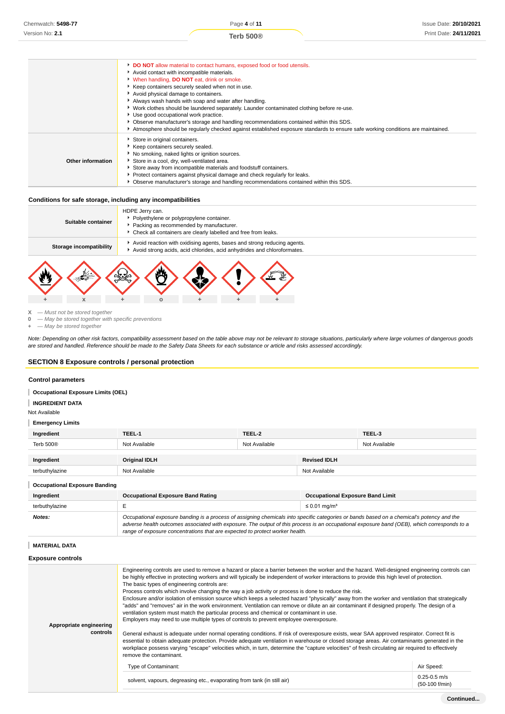**DO NOT** allow material to contact humans, exposed food or food utensils. Avoid contact with incompatible materials. When handling, **DO NOT** eat, drink or smoke. Keep containers securely sealed when not in use. Avoid physical damage to containers. Always wash hands with soap and water after handling. Work clothes should be laundered separately. Launder contaminated clothing before re-use. Use good occupational work practice. Observe manufacturer's storage and handling recommendations contained within this SDS. Atmosphere should be regularly checked against established exposure standards to ensure safe working conditions are maintained. **Other information** Store in original containers. Keep containers securely sealed. No smoking, naked lights or ignition sources. Store in a cool, dry, well-ventilated area. Store away from incompatible materials and foodstuff containers. Protect containers against physical damage and check regularly for leaks. Observe manufacturer's storage and handling recommendations contained within this SDS.

## **Conditions for safe storage, including any incompatibilities**



 $X - M$ ust not be stored together<br>0  $-M$ ay be stored together with

**0** — May be stored together with specific preventions

**+** — May be stored together

Note: Depending on other risk factors, compatibility assessment based on the table above may not be relevant to storage situations, particularly where large volumes of dangerous goods are stored and handled. Reference should be made to the Safety Data Sheets for each substance or article and risks assessed accordingly.

#### **SECTION 8 Exposure controls / personal protection**

**+ x + o + + +**

#### **Control parameters**

**Occupational Exposure Limits (OEL)**

## **INGREDIENT DATA**

Not Available

#### **Emergency Limits**

| Ingredient                           | TEEL-1               | TEEL-2        |                     | TEEL-3        |
|--------------------------------------|----------------------|---------------|---------------------|---------------|
| Terb 500 <sup>®</sup>                | Not Available        | Not Available |                     | Not Available |
|                                      |                      |               |                     |               |
| Ingredient                           | <b>Original IDLH</b> |               | <b>Revised IDLH</b> |               |
| terbuthylazine                       | Not Available        |               | Not Available       |               |
| <b>Occupational Exposure Banding</b> |                      |               |                     |               |

| Ingredient     | <b>Occupational Exposure Band Rating</b>                                                                                                                                                                                                                                                                                                                                 | <b>Occupational Exposure Band Limit</b> |
|----------------|--------------------------------------------------------------------------------------------------------------------------------------------------------------------------------------------------------------------------------------------------------------------------------------------------------------------------------------------------------------------------|-----------------------------------------|
| terbuthylazine |                                                                                                                                                                                                                                                                                                                                                                          | $\leq$ 0.01 mg/m <sup>3</sup>           |
| Notes:         | Occupational exposure banding is a process of assigning chemicals into specific categories or bands based on a chemical's potency and the<br>adverse health outcomes associated with exposure. The output of this process is an occupational exposure band (OEB), which corresponds to a<br>range of exposure concentrations that are expected to protect worker health. |                                         |

#### **MATERIAL DATA**

| <b>Exposure controls</b>            |                                                                                                                                                                                                                                                                                                                                                                                                                                                                                                                                                                                                                                                                                                                                                                                                                                                                                                                                                                                                                                                                                                                                                                                                                                                                                                                                                                                                                                 |                                    |
|-------------------------------------|---------------------------------------------------------------------------------------------------------------------------------------------------------------------------------------------------------------------------------------------------------------------------------------------------------------------------------------------------------------------------------------------------------------------------------------------------------------------------------------------------------------------------------------------------------------------------------------------------------------------------------------------------------------------------------------------------------------------------------------------------------------------------------------------------------------------------------------------------------------------------------------------------------------------------------------------------------------------------------------------------------------------------------------------------------------------------------------------------------------------------------------------------------------------------------------------------------------------------------------------------------------------------------------------------------------------------------------------------------------------------------------------------------------------------------|------------------------------------|
| Appropriate engineering<br>controls | Engineering controls are used to remove a hazard or place a barrier between the worker and the hazard. Well-designed engineering controls can<br>be highly effective in protecting workers and will typically be independent of worker interactions to provide this high level of protection.<br>The basic types of engineering controls are:<br>Process controls which involve changing the way a job activity or process is done to reduce the risk.<br>Enclosure and/or isolation of emission source which keeps a selected hazard "physically" away from the worker and ventilation that strategically<br>"adds" and "removes" air in the work environment. Ventilation can remove or dilute an air contaminant if designed properly. The design of a<br>ventilation system must match the particular process and chemical or contaminant in use.<br>Employers may need to use multiple types of controls to prevent employee overexposure.<br>General exhaust is adequate under normal operating conditions. If risk of overexposure exists, wear SAA approved respirator. Correct fit is<br>essential to obtain adequate protection. Provide adequate ventilation in warehouse or closed storage areas. Air contaminants generated in the<br>workplace possess varying "escape" velocities which, in turn, determine the "capture velocities" of fresh circulating air required to effectively<br>remove the contaminant. |                                    |
|                                     | Type of Contaminant:                                                                                                                                                                                                                                                                                                                                                                                                                                                                                                                                                                                                                                                                                                                                                                                                                                                                                                                                                                                                                                                                                                                                                                                                                                                                                                                                                                                                            | Air Speed:                         |
|                                     | solvent, vapours, degreasing etc., evaporating from tank (in still air)                                                                                                                                                                                                                                                                                                                                                                                                                                                                                                                                                                                                                                                                                                                                                                                                                                                                                                                                                                                                                                                                                                                                                                                                                                                                                                                                                         | $0.25 - 0.5$ m/s<br>(50-100 f/min) |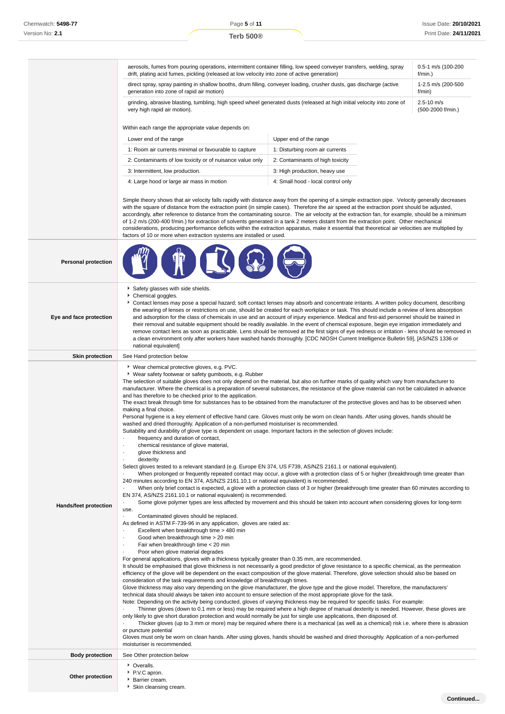|                            | aerosols, fumes from pouring operations, intermittent container filling, low speed conveyer transfers, welding, spray<br>0.5-1 m/s (100-200<br>drift, plating acid fumes, pickling (released at low velocity into zone of active generation)<br>f/min.)                                                                                                                                                                                                                                                                                                                                                                                                                                                                                                                                                                                                                                                                                                                                                                                                                                                                                                                                                                                                                                                                                                                                                                                                                                                                                                                                                                                                                                                                                                                                                                                                                                                                                                                                                                                                                                                                                                                                                                                                                                                                                                                                                                                                                                                                                                                                                                                                                                                                                                                                                                                                                                                                                                                                                                                                                                                                                                                                                                                                                                                                                                                                                                                                                                                                                    |                                                           |  |  |  |  |
|----------------------------|--------------------------------------------------------------------------------------------------------------------------------------------------------------------------------------------------------------------------------------------------------------------------------------------------------------------------------------------------------------------------------------------------------------------------------------------------------------------------------------------------------------------------------------------------------------------------------------------------------------------------------------------------------------------------------------------------------------------------------------------------------------------------------------------------------------------------------------------------------------------------------------------------------------------------------------------------------------------------------------------------------------------------------------------------------------------------------------------------------------------------------------------------------------------------------------------------------------------------------------------------------------------------------------------------------------------------------------------------------------------------------------------------------------------------------------------------------------------------------------------------------------------------------------------------------------------------------------------------------------------------------------------------------------------------------------------------------------------------------------------------------------------------------------------------------------------------------------------------------------------------------------------------------------------------------------------------------------------------------------------------------------------------------------------------------------------------------------------------------------------------------------------------------------------------------------------------------------------------------------------------------------------------------------------------------------------------------------------------------------------------------------------------------------------------------------------------------------------------------------------------------------------------------------------------------------------------------------------------------------------------------------------------------------------------------------------------------------------------------------------------------------------------------------------------------------------------------------------------------------------------------------------------------------------------------------------------------------------------------------------------------------------------------------------------------------------------------------------------------------------------------------------------------------------------------------------------------------------------------------------------------------------------------------------------------------------------------------------------------------------------------------------------------------------------------------------------------------------------------------------------------------------------------------------|-----------------------------------------------------------|--|--|--|--|
|                            | direct spray, spray painting in shallow booths, drum filling, conveyer loading, crusher dusts, gas discharge (active<br>generation into zone of rapid air motion)                                                                                                                                                                                                                                                                                                                                                                                                                                                                                                                                                                                                                                                                                                                                                                                                                                                                                                                                                                                                                                                                                                                                                                                                                                                                                                                                                                                                                                                                                                                                                                                                                                                                                                                                                                                                                                                                                                                                                                                                                                                                                                                                                                                                                                                                                                                                                                                                                                                                                                                                                                                                                                                                                                                                                                                                                                                                                                                                                                                                                                                                                                                                                                                                                                                                                                                                                                          | 1-2.5 m/s (200-500<br>f/min)                              |  |  |  |  |
|                            | grinding, abrasive blasting, tumbling, high speed wheel generated dusts (released at high initial velocity into zone of<br>very high rapid air motion).                                                                                                                                                                                                                                                                                                                                                                                                                                                                                                                                                                                                                                                                                                                                                                                                                                                                                                                                                                                                                                                                                                                                                                                                                                                                                                                                                                                                                                                                                                                                                                                                                                                                                                                                                                                                                                                                                                                                                                                                                                                                                                                                                                                                                                                                                                                                                                                                                                                                                                                                                                                                                                                                                                                                                                                                                                                                                                                                                                                                                                                                                                                                                                                                                                                                                                                                                                                    | $2.5 - 10$ m/s<br>(500-2000 f/min.)                       |  |  |  |  |
|                            | Within each range the appropriate value depends on:                                                                                                                                                                                                                                                                                                                                                                                                                                                                                                                                                                                                                                                                                                                                                                                                                                                                                                                                                                                                                                                                                                                                                                                                                                                                                                                                                                                                                                                                                                                                                                                                                                                                                                                                                                                                                                                                                                                                                                                                                                                                                                                                                                                                                                                                                                                                                                                                                                                                                                                                                                                                                                                                                                                                                                                                                                                                                                                                                                                                                                                                                                                                                                                                                                                                                                                                                                                                                                                                                        |                                                           |  |  |  |  |
|                            | Lower end of the range                                                                                                                                                                                                                                                                                                                                                                                                                                                                                                                                                                                                                                                                                                                                                                                                                                                                                                                                                                                                                                                                                                                                                                                                                                                                                                                                                                                                                                                                                                                                                                                                                                                                                                                                                                                                                                                                                                                                                                                                                                                                                                                                                                                                                                                                                                                                                                                                                                                                                                                                                                                                                                                                                                                                                                                                                                                                                                                                                                                                                                                                                                                                                                                                                                                                                                                                                                                                                                                                                                                     |                                                           |  |  |  |  |
|                            | 1: Room air currents minimal or favourable to capture                                                                                                                                                                                                                                                                                                                                                                                                                                                                                                                                                                                                                                                                                                                                                                                                                                                                                                                                                                                                                                                                                                                                                                                                                                                                                                                                                                                                                                                                                                                                                                                                                                                                                                                                                                                                                                                                                                                                                                                                                                                                                                                                                                                                                                                                                                                                                                                                                                                                                                                                                                                                                                                                                                                                                                                                                                                                                                                                                                                                                                                                                                                                                                                                                                                                                                                                                                                                                                                                                      | Upper end of the range<br>1: Disturbing room air currents |  |  |  |  |
|                            | 2: Contaminants of low toxicity or of nuisance value only                                                                                                                                                                                                                                                                                                                                                                                                                                                                                                                                                                                                                                                                                                                                                                                                                                                                                                                                                                                                                                                                                                                                                                                                                                                                                                                                                                                                                                                                                                                                                                                                                                                                                                                                                                                                                                                                                                                                                                                                                                                                                                                                                                                                                                                                                                                                                                                                                                                                                                                                                                                                                                                                                                                                                                                                                                                                                                                                                                                                                                                                                                                                                                                                                                                                                                                                                                                                                                                                                  | 2: Contaminants of high toxicity                          |  |  |  |  |
|                            | 3: Intermittent, low production.                                                                                                                                                                                                                                                                                                                                                                                                                                                                                                                                                                                                                                                                                                                                                                                                                                                                                                                                                                                                                                                                                                                                                                                                                                                                                                                                                                                                                                                                                                                                                                                                                                                                                                                                                                                                                                                                                                                                                                                                                                                                                                                                                                                                                                                                                                                                                                                                                                                                                                                                                                                                                                                                                                                                                                                                                                                                                                                                                                                                                                                                                                                                                                                                                                                                                                                                                                                                                                                                                                           | 3: High production, heavy use                             |  |  |  |  |
|                            | 4: Large hood or large air mass in motion                                                                                                                                                                                                                                                                                                                                                                                                                                                                                                                                                                                                                                                                                                                                                                                                                                                                                                                                                                                                                                                                                                                                                                                                                                                                                                                                                                                                                                                                                                                                                                                                                                                                                                                                                                                                                                                                                                                                                                                                                                                                                                                                                                                                                                                                                                                                                                                                                                                                                                                                                                                                                                                                                                                                                                                                                                                                                                                                                                                                                                                                                                                                                                                                                                                                                                                                                                                                                                                                                                  | 4: Small hood - local control only                        |  |  |  |  |
|                            | Simple theory shows that air velocity falls rapidly with distance away from the opening of a simple extraction pipe. Velocity generally decreases<br>with the square of distance from the extraction point (in simple cases). Therefore the air speed at the extraction point should be adjusted,<br>accordingly, after reference to distance from the contaminating source. The air velocity at the extraction fan, for example, should be a minimum<br>of 1-2 m/s (200-400 f/min.) for extraction of solvents generated in a tank 2 meters distant from the extraction point. Other mechanical<br>considerations, producing performance deficits within the extraction apparatus, make it essential that theoretical air velocities are multiplied by<br>factors of 10 or more when extraction systems are installed or used.                                                                                                                                                                                                                                                                                                                                                                                                                                                                                                                                                                                                                                                                                                                                                                                                                                                                                                                                                                                                                                                                                                                                                                                                                                                                                                                                                                                                                                                                                                                                                                                                                                                                                                                                                                                                                                                                                                                                                                                                                                                                                                                                                                                                                                                                                                                                                                                                                                                                                                                                                                                                                                                                                                            |                                                           |  |  |  |  |
| <b>Personal protection</b> |                                                                                                                                                                                                                                                                                                                                                                                                                                                                                                                                                                                                                                                                                                                                                                                                                                                                                                                                                                                                                                                                                                                                                                                                                                                                                                                                                                                                                                                                                                                                                                                                                                                                                                                                                                                                                                                                                                                                                                                                                                                                                                                                                                                                                                                                                                                                                                                                                                                                                                                                                                                                                                                                                                                                                                                                                                                                                                                                                                                                                                                                                                                                                                                                                                                                                                                                                                                                                                                                                                                                            |                                                           |  |  |  |  |
| Eye and face protection    | Safety glasses with side shields.<br>Chemical goggles.<br>Contact lenses may pose a special hazard; soft contact lenses may absorb and concentrate irritants. A written policy document, describing<br>the wearing of lenses or restrictions on use, should be created for each workplace or task. This should include a review of lens absorption<br>and adsorption for the class of chemicals in use and an account of injury experience. Medical and first-aid personnel should be trained in<br>their removal and suitable equipment should be readily available. In the event of chemical exposure, begin eye irrigation immediately and<br>remove contact lens as soon as practicable. Lens should be removed at the first signs of eye redness or irritation - lens should be removed in<br>a clean environment only after workers have washed hands thoroughly. [CDC NIOSH Current Intelligence Bulletin 59], [AS/NZS 1336 or<br>national equivalent]                                                                                                                                                                                                                                                                                                                                                                                                                                                                                                                                                                                                                                                                                                                                                                                                                                                                                                                                                                                                                                                                                                                                                                                                                                                                                                                                                                                                                                                                                                                                                                                                                                                                                                                                                                                                                                                                                                                                                                                                                                                                                                                                                                                                                                                                                                                                                                                                                                                                                                                                                                              |                                                           |  |  |  |  |
| <b>Skin protection</b>     | See Hand protection below                                                                                                                                                                                                                                                                                                                                                                                                                                                                                                                                                                                                                                                                                                                                                                                                                                                                                                                                                                                                                                                                                                                                                                                                                                                                                                                                                                                                                                                                                                                                                                                                                                                                                                                                                                                                                                                                                                                                                                                                                                                                                                                                                                                                                                                                                                                                                                                                                                                                                                                                                                                                                                                                                                                                                                                                                                                                                                                                                                                                                                                                                                                                                                                                                                                                                                                                                                                                                                                                                                                  |                                                           |  |  |  |  |
| Hands/feet protection      | ▶ Wear chemical protective gloves, e.g. PVC.<br>▶ Wear safety footwear or safety gumboots, e.g. Rubber<br>The selection of suitable gloves does not only depend on the material, but also on further marks of quality which vary from manufacturer to<br>manufacturer. Where the chemical is a preparation of several substances, the resistance of the glove material can not be calculated in advance<br>and has therefore to be checked prior to the application.<br>The exact break through time for substances has to be obtained from the manufacturer of the protective gloves and has to be observed when<br>making a final choice.<br>Personal hygiene is a key element of effective hand care. Gloves must only be worn on clean hands. After using gloves, hands should be<br>washed and dried thoroughly. Application of a non-perfumed moisturiser is recommended.<br>Suitability and durability of glove type is dependent on usage. Important factors in the selection of gloves include:<br>frequency and duration of contact,<br>chemical resistance of glove material,<br>$\cdot$<br>glove thickness and<br>dexterity<br>٠<br>Select gloves tested to a relevant standard (e.g. Europe EN 374, US F739, AS/NZS 2161.1 or national equivalent).<br>When prolonged or frequently repeated contact may occur, a glove with a protection class of 5 or higher (breakthrough time greater than<br>240 minutes according to EN 374, AS/NZS 2161.10.1 or national equivalent) is recommended.<br>When only brief contact is expected, a glove with a protection class of 3 or higher (breakthrough time greater than 60 minutes according to<br>EN 374, AS/NZS 2161.10.1 or national equivalent) is recommended.<br>Some glove polymer types are less affected by movement and this should be taken into account when considering gloves for long-term<br>use.<br>Contaminated gloves should be replaced.<br>$\cdot$<br>As defined in ASTM F-739-96 in any application, gloves are rated as:<br>Excellent when breakthrough time > 480 min<br>Good when breakthrough time > 20 min<br>$\cdot$<br>Fair when breakthrough time < 20 min<br>$\cdot$<br>Poor when glove material degrades<br>$\cdot$<br>For general applications, gloves with a thickness typically greater than 0.35 mm, are recommended.<br>It should be emphasised that glove thickness is not necessarily a good predictor of glove resistance to a specific chemical, as the permeation<br>efficiency of the glove will be dependent on the exact composition of the glove material. Therefore, glove selection should also be based on<br>consideration of the task requirements and knowledge of breakthrough times.<br>Glove thickness may also vary depending on the glove manufacturer, the glove type and the glove model. Therefore, the manufacturers'<br>technical data should always be taken into account to ensure selection of the most appropriate glove for the task.<br>Note: Depending on the activity being conducted, gloves of varying thickness may be required for specific tasks. For example:<br>Thinner gloves (down to 0.1 mm or less) may be required where a high degree of manual dexterity is needed. However, these gloves are<br>only likely to give short duration protection and would normally be just for single use applications, then disposed of.<br>Thicker gloves (up to 3 mm or more) may be required where there is a mechanical (as well as a chemical) risk i.e. where there is abrasion<br>or puncture potential |                                                           |  |  |  |  |
|                            | moisturiser is recommended.                                                                                                                                                                                                                                                                                                                                                                                                                                                                                                                                                                                                                                                                                                                                                                                                                                                                                                                                                                                                                                                                                                                                                                                                                                                                                                                                                                                                                                                                                                                                                                                                                                                                                                                                                                                                                                                                                                                                                                                                                                                                                                                                                                                                                                                                                                                                                                                                                                                                                                                                                                                                                                                                                                                                                                                                                                                                                                                                                                                                                                                                                                                                                                                                                                                                                                                                                                                                                                                                                                                |                                                           |  |  |  |  |
| <b>Body protection</b>     | See Other protection below                                                                                                                                                                                                                                                                                                                                                                                                                                                                                                                                                                                                                                                                                                                                                                                                                                                                                                                                                                                                                                                                                                                                                                                                                                                                                                                                                                                                                                                                                                                                                                                                                                                                                                                                                                                                                                                                                                                                                                                                                                                                                                                                                                                                                                                                                                                                                                                                                                                                                                                                                                                                                                                                                                                                                                                                                                                                                                                                                                                                                                                                                                                                                                                                                                                                                                                                                                                                                                                                                                                 |                                                           |  |  |  |  |
| Other protection           | • Overalls.<br>P.V.C apron.<br>Barrier cream.                                                                                                                                                                                                                                                                                                                                                                                                                                                                                                                                                                                                                                                                                                                                                                                                                                                                                                                                                                                                                                                                                                                                                                                                                                                                                                                                                                                                                                                                                                                                                                                                                                                                                                                                                                                                                                                                                                                                                                                                                                                                                                                                                                                                                                                                                                                                                                                                                                                                                                                                                                                                                                                                                                                                                                                                                                                                                                                                                                                                                                                                                                                                                                                                                                                                                                                                                                                                                                                                                              |                                                           |  |  |  |  |

Skin cleansing cream.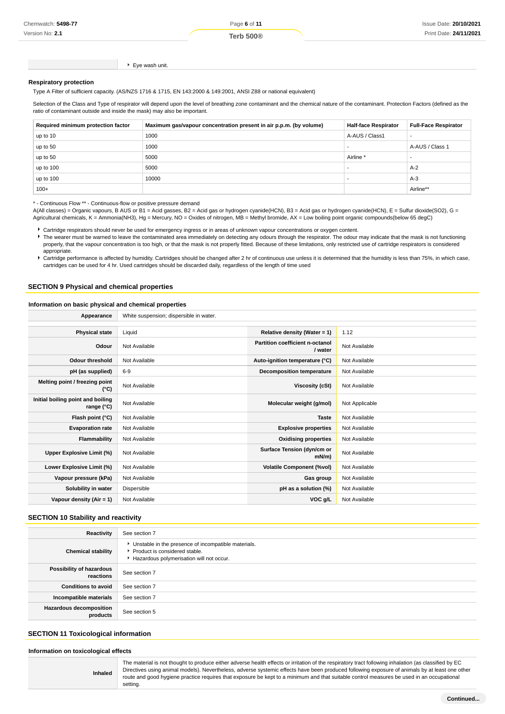Version No: **2.1**

Eye wash unit.

#### **Respiratory protection**

Type A Filter of sufficient capacity. (AS/NZS 1716 & 1715, EN 143:2000 & 149:2001, ANSI Z88 or national equivalent)

Selection of the Class and Type of respirator will depend upon the level of breathing zone contaminant and the chemical nature of the contaminant. Protection Factors (defined as the ratio of contaminant outside and inside the mask) may also be important.

| Required minimum protection factor | Maximum gas/vapour concentration present in air p.p.m. (by volume) | <b>Half-face Respirator</b> | <b>Full-Face Respirator</b> |
|------------------------------------|--------------------------------------------------------------------|-----------------------------|-----------------------------|
| up to 10                           | 1000                                                               | A-AUS / Class1              |                             |
| up to 50                           | 1000                                                               |                             | A-AUS / Class 1             |
| up to 50                           | 5000                                                               | Airline <sup>*</sup>        | -                           |
| up to 100                          | 5000                                                               |                             | $A-2$                       |
| up to 100                          | 10000                                                              |                             | $A-3$                       |
| $100+$                             |                                                                    |                             | Airline**                   |

\* - Continuous Flow \*\* - Continuous-flow or positive pressure demand

A(All classes) = Organic vapours, B AUS or B1 = Acid gasses, B2 = Acid gas or hydrogen cyanide(HCN), B3 = Acid gas or hydrogen cyanide(HCN), E = Sulfur dioxide(SO2), G = Agricultural chemicals, K = Ammonia(NH3), Hg = Mercury, NO = Oxides of nitrogen, MB = Methyl bromide, AX = Low boiling point organic compounds(below 65 degC)

Cartridge respirators should never be used for emergency ingress or in areas of unknown vapour concentrations or oxygen content.

The wearer must be warned to leave the contaminated area immediately on detecting any odours through the respirator. The odour may indicate that the mask is not functioning properly, that the vapour concentration is too high, or that the mask is not properly fitted. Because of these limitations, only restricted use of cartridge respirators is considered appropriate.

Cartridge performance is affected by humidity. Cartridges should be changed after 2 hr of continuous use unless it is determined that the humidity is less than 75%, in which case, cartridges can be used for 4 hr. Used cartridges should be discarded daily, regardless of the length of time used

#### **SECTION 9 Physical and chemical properties**

#### **Information on basic physical and chemical properties**

| Appearance                                      | White suspension; dispersible in water. |                                            |                |
|-------------------------------------------------|-----------------------------------------|--------------------------------------------|----------------|
|                                                 |                                         |                                            |                |
| <b>Physical state</b>                           | Liquid                                  | Relative density (Water = $1$ )            | 1.12           |
| Odour                                           | Not Available                           | Partition coefficient n-octanol<br>/ water | Not Available  |
| <b>Odour threshold</b>                          | Not Available                           | Auto-ignition temperature (°C)             | Not Available  |
| pH (as supplied)                                | $6-9$                                   | <b>Decomposition temperature</b>           | Not Available  |
| Melting point / freezing point<br>(°C)          | Not Available                           | Viscosity (cSt)                            | Not Available  |
| Initial boiling point and boiling<br>range (°C) | Not Available                           | Molecular weight (g/mol)                   | Not Applicable |
| Flash point (°C)                                | Not Available                           | <b>Taste</b>                               | Not Available  |
| <b>Evaporation rate</b>                         | Not Available                           | <b>Explosive properties</b>                | Not Available  |
| Flammability                                    | Not Available                           | <b>Oxidising properties</b>                | Not Available  |
| Upper Explosive Limit (%)                       | Not Available                           | Surface Tension (dyn/cm or<br>$mN/m$ )     | Not Available  |
| Lower Explosive Limit (%)                       | Not Available                           | <b>Volatile Component (%vol)</b>           | Not Available  |
| Vapour pressure (kPa)                           | Not Available                           | Gas group                                  | Not Available  |
| Solubility in water                             | Dispersible                             | pH as a solution (%)                       | Not Available  |
| Vapour density (Air = 1)                        | Not Available                           | VOC g/L                                    | Not Available  |

#### **SECTION 10 Stability and reactivity**

| Reactivity                                 | See section 7                                                                                                                    |
|--------------------------------------------|----------------------------------------------------------------------------------------------------------------------------------|
| <b>Chemical stability</b>                  | Unstable in the presence of incompatible materials.<br>Product is considered stable.<br>Hazardous polymerisation will not occur. |
| Possibility of hazardous<br>reactions      | See section 7                                                                                                                    |
| <b>Conditions to avoid</b>                 | See section 7                                                                                                                    |
| Incompatible materials                     | See section 7                                                                                                                    |
| <b>Hazardous decomposition</b><br>products | See section 5                                                                                                                    |

## **SECTION 11 Toxicological information**

**Inhaled**

**Information on toxicological effects**

The material is not thought to produce either adverse health effects or irritation of the respiratory tract following inhalation (as classified by EC Directives using animal models). Nevertheless, adverse systemic effects have been produced following exposure of animals by at least one other route and good hygiene practice requires that exposure be kept to a minimum and that suitable control measures be used in an occupational setting.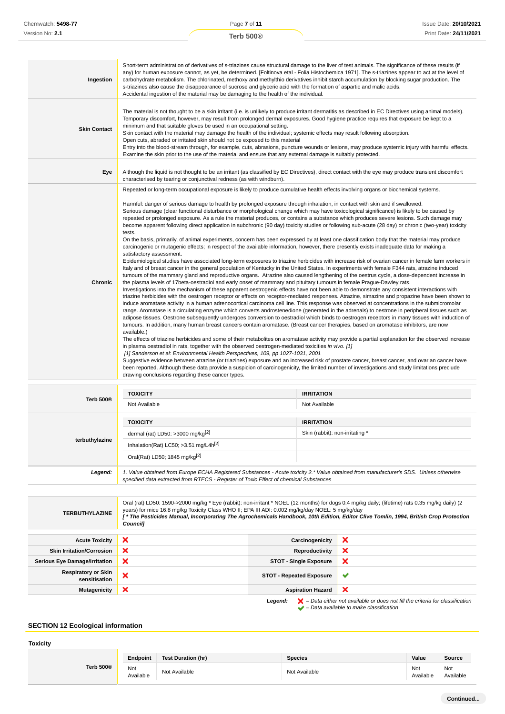| Ingestion           | Short-term administration of derivatives of s-triazines cause structural damage to the liver of test animals. The significance of these results (if<br>any) for human exposure cannot, as yet, be determined. [Foltinova etal - Folia Histochemica 1971]. The s-triazines appear to act at the level of<br>carbohydrate metabolism. The chlorinated, methoxy and methylthio derivatives inhibit starch accumulation by blocking sugar production. The<br>s-triazines also cause the disappearance of sucrose and glyceric acid with the formation of aspartic and malic acids.<br>Accidental ingestion of the material may be damaging to the health of the individual.                                                                                                                                                                                                                                                                                                                                                                                                                                                                                                                                                                                                                                                                                                                                                                                                                                                                                                                                                                                                                                                                                                                                                                                                                                                                                                                                                                                                                                                                                                                                                                                                                                                                                                                                                                                                                                                                                                                                                                                                                                                                                                                                                                                                                                                                                                                                                                                                                                                                                                                                                                         |
|---------------------|-------------------------------------------------------------------------------------------------------------------------------------------------------------------------------------------------------------------------------------------------------------------------------------------------------------------------------------------------------------------------------------------------------------------------------------------------------------------------------------------------------------------------------------------------------------------------------------------------------------------------------------------------------------------------------------------------------------------------------------------------------------------------------------------------------------------------------------------------------------------------------------------------------------------------------------------------------------------------------------------------------------------------------------------------------------------------------------------------------------------------------------------------------------------------------------------------------------------------------------------------------------------------------------------------------------------------------------------------------------------------------------------------------------------------------------------------------------------------------------------------------------------------------------------------------------------------------------------------------------------------------------------------------------------------------------------------------------------------------------------------------------------------------------------------------------------------------------------------------------------------------------------------------------------------------------------------------------------------------------------------------------------------------------------------------------------------------------------------------------------------------------------------------------------------------------------------------------------------------------------------------------------------------------------------------------------------------------------------------------------------------------------------------------------------------------------------------------------------------------------------------------------------------------------------------------------------------------------------------------------------------------------------------------------------------------------------------------------------------------------------------------------------------------------------------------------------------------------------------------------------------------------------------------------------------------------------------------------------------------------------------------------------------------------------------------------------------------------------------------------------------------------------------------------------------------------------------------------------------------------------|
| <b>Skin Contact</b> | The material is not thought to be a skin irritant (i.e. is unlikely to produce irritant dermatitis as described in EC Directives using animal models).<br>Temporary discomfort, however, may result from prolonged dermal exposures. Good hygiene practice requires that exposure be kept to a<br>minimum and that suitable gloves be used in an occupational setting.<br>Skin contact with the material may damage the health of the individual; systemic effects may result following absorption.<br>Open cuts, abraded or irritated skin should not be exposed to this material<br>Entry into the blood-stream through, for example, cuts, abrasions, puncture wounds or lesions, may produce systemic injury with harmful effects.<br>Examine the skin prior to the use of the material and ensure that any external damage is suitably protected.                                                                                                                                                                                                                                                                                                                                                                                                                                                                                                                                                                                                                                                                                                                                                                                                                                                                                                                                                                                                                                                                                                                                                                                                                                                                                                                                                                                                                                                                                                                                                                                                                                                                                                                                                                                                                                                                                                                                                                                                                                                                                                                                                                                                                                                                                                                                                                                          |
| Eye                 | Although the liquid is not thought to be an irritant (as classified by EC Directives), direct contact with the eye may produce transient discomfort<br>characterised by tearing or conjunctival redness (as with windburn).                                                                                                                                                                                                                                                                                                                                                                                                                                                                                                                                                                                                                                                                                                                                                                                                                                                                                                                                                                                                                                                                                                                                                                                                                                                                                                                                                                                                                                                                                                                                                                                                                                                                                                                                                                                                                                                                                                                                                                                                                                                                                                                                                                                                                                                                                                                                                                                                                                                                                                                                                                                                                                                                                                                                                                                                                                                                                                                                                                                                                     |
| Chronic             | Repeated or long-term occupational exposure is likely to produce cumulative health effects involving organs or biochemical systems.<br>Harmful: danger of serious damage to health by prolonged exposure through inhalation, in contact with skin and if swallowed.<br>Serious damage (clear functional disturbance or morphological change which may have toxicological significance) is likely to be caused by<br>repeated or prolonged exposure. As a rule the material produces, or contains a substance which produces severe lesions. Such damage may<br>become apparent following direct application in subchronic (90 day) toxicity studies or following sub-acute (28 day) or chronic (two-year) toxicity<br>tests.<br>On the basis, primarily, of animal experiments, concern has been expressed by at least one classification body that the material may produce<br>carcinogenic or mutagenic effects; in respect of the available information, however, there presently exists inadequate data for making a<br>satisfactory assessment.<br>Epidemiological studies have associated long-term exposures to triazine herbicides with increase risk of ovarian cancer in female farm workers in<br>Italy and of breast cancer in the general population of Kentucky in the United States. In experiments with female F344 rats, atrazine induced<br>tumours of the mammary gland and reproductive organs. Atrazine also caused lengthening of the oestrus cycle, a dose-dependent increase in<br>the plasma levels of 17beta-oestradiol and early onset of mammary and pituitary tumours in female Prague-Dawley rats.<br>Investigations into the mechanism of these apparent oestrogenic effects have not been able to demonstrate any consistent interactions with<br>triazine herbicides with the oestrogen receptor or effects on receptor-mediated responses. Atrazine, simazine and propazine have been shown to<br>induce aromatase activity in a human adrenocortical carcinoma cell line. This response was observed at concentrations in the submicromolar<br>range. Aromatase is a circulating enzyme which converts androstenedione (generated in the adrenals) to oestrone in peripheral tissues such as<br>adipose tissues. Oestrone subsequently undergoes conversion to oestradiol which binds to oestrogen receptors in many tissues with induction of<br>tumours. In addition, many human breast cancers contain aromatase. (Breast cancer therapies, based on aromatase inhibitors, are now<br>available.)<br>The effects of triazine herbicides and some of their metabolites on aromatase activity may provide a partial explanation for the observed increase<br>in plasma oestradiol in rats, together with the observed oestrogen-mediated toxicities in vivo. [1]<br>[1] Sanderson et al: Environmental Health Perspectives, 109, pp 1027-1031, 2001<br>Suggestive evidence between atrazine (or triazines) exposure and an increased risk of prostate cancer, breast cancer, and ovarian cancer have<br>been reported. Although these data provide a suspicion of carcinogenicity, the limited number of investigations and study limitations preclude<br>drawing conclusions regarding these cancer types. |

| <b>TOXICITY</b>                                                                                                                                                                                                                 | <b>IRRITATION</b>               |  |
|---------------------------------------------------------------------------------------------------------------------------------------------------------------------------------------------------------------------------------|---------------------------------|--|
| Not Available                                                                                                                                                                                                                   | Not Available                   |  |
| <b>TOXICITY</b>                                                                                                                                                                                                                 | <b>IRRITATION</b>               |  |
| dermal (rat) LD50: >3000 mg/kg $[2]$                                                                                                                                                                                            | Skin (rabbit): non-irritating * |  |
| Inhalation(Rat) LC50; > 3.51 mg/L4 $h[2]$                                                                                                                                                                                       |                                 |  |
| Oral(Rat) LD50; 1845 mg/kg <sup>[2]</sup>                                                                                                                                                                                       |                                 |  |
| 1. Value obtained from Europe ECHA Registered Substances - Acute toxicity 2.* Value obtained from manufacturer's SDS. Unless otherwise<br>specified data extracted from RTECS - Register of Toxic Effect of chemical Substances |                                 |  |
|                                                                                                                                                                                                                                 |                                 |  |

| <b>TERBUTHYLAZINE</b>                       | Oral (rat) LD50: 1590->2000 mg/kg * Eye (rabbit): non-irritant * NOEL (12 months) for dogs 0.4 mg/kg daily; (lifetime) rats 0.35 mg/kg daily) (2<br>years) for mice 16.8 mg/kg Toxicity Class WHO II; EPA III ADI: 0.002 mg/kg/day NOEL: 5 mg/kg/day<br>[* The Pesticides Manual, Incorporating The Agrochemicals Handbook, 10th Edition, Editor Clive Tomlin, 1994, British Crop Protection<br><b>Councill</b> |                                 |                                                                                                                                                                     |
|---------------------------------------------|-----------------------------------------------------------------------------------------------------------------------------------------------------------------------------------------------------------------------------------------------------------------------------------------------------------------------------------------------------------------------------------------------------------------|---------------------------------|---------------------------------------------------------------------------------------------------------------------------------------------------------------------|
| <b>Acute Toxicity</b>                       | ×                                                                                                                                                                                                                                                                                                                                                                                                               | Carcinogenicity                 | ×                                                                                                                                                                   |
| <b>Skin Irritation/Corrosion</b>            | ×                                                                                                                                                                                                                                                                                                                                                                                                               | Reproductivity                  | ×                                                                                                                                                                   |
| <b>Serious Eye Damage/Irritation</b>        | ×                                                                                                                                                                                                                                                                                                                                                                                                               | <b>STOT - Single Exposure</b>   | ×                                                                                                                                                                   |
| <b>Respiratory or Skin</b><br>sensitisation | ×                                                                                                                                                                                                                                                                                                                                                                                                               | <b>STOT - Repeated Exposure</b> |                                                                                                                                                                     |
| Mutagenicity                                | ×                                                                                                                                                                                                                                                                                                                                                                                                               | <b>Aspiration Hazard</b>        | $\boldsymbol{\mathsf{x}}$                                                                                                                                           |
|                                             |                                                                                                                                                                                                                                                                                                                                                                                                                 | Legend:                         | $\blacktriangleright$ - Data either not available or does not fill the criteria for classification<br>$\blacktriangleright$ – Data available to make classification |

# **SECTION 12 Ecological information**

**Toxicity**

|                  | Endpoint         | Test Duration (hr) | <b>Species</b> | Value            | Source           |
|------------------|------------------|--------------------|----------------|------------------|------------------|
| <b>Terb 500®</b> | Not<br>Available | Not Available      | Not Available  | Not<br>Available | Not<br>Available |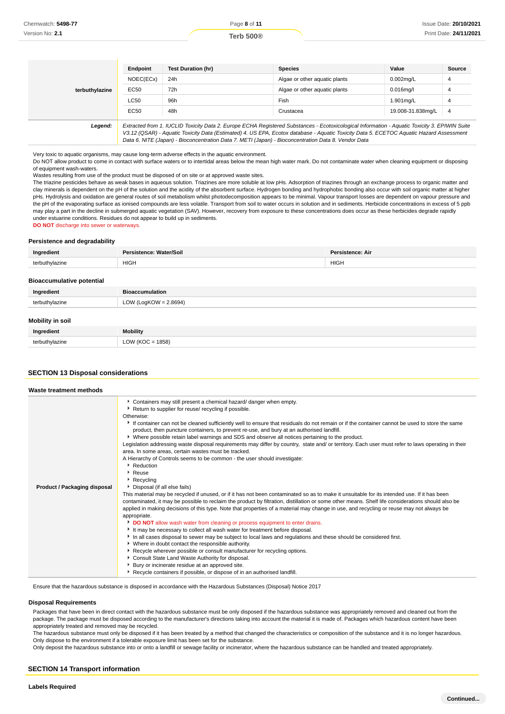|                | Endpoint                                                                                                                                                                                                                                                                                                                                                                                        | <b>Test Duration (hr)</b> | <b>Species</b>                | Value             | Source |
|----------------|-------------------------------------------------------------------------------------------------------------------------------------------------------------------------------------------------------------------------------------------------------------------------------------------------------------------------------------------------------------------------------------------------|---------------------------|-------------------------------|-------------------|--------|
|                | NOEC(ECx)                                                                                                                                                                                                                                                                                                                                                                                       | 24h                       | Algae or other aquatic plants | $0.002$ mg/L      | 4      |
| terbuthylazine | EC50                                                                                                                                                                                                                                                                                                                                                                                            | 72h                       | Algae or other aquatic plants | $0.016$ mg/l      | 4      |
|                | LC50                                                                                                                                                                                                                                                                                                                                                                                            | 96h                       | Fish                          | 1.901mg/L         | 4      |
|                | EC50                                                                                                                                                                                                                                                                                                                                                                                            | 48h                       | Crustacea                     | 19.008-31.838mg/L | 4      |
| Legend:        | Extracted from 1. IUCLID Toxicity Data 2. Europe ECHA Registered Substances - Ecotoxicological Information - Aquatic Toxicity 3. EPIWIN Suite<br>V3.12 (QSAR) - Aquatic Toxicity Data (Estimated) 4. US EPA, Ecotox database - Aquatic Toxicity Data 5. ECETOC Aquatic Hazard Assessment<br>Data 6. NITE (Japan) - Bioconcentration Data 7. METI (Japan) - Bioconcentration Data 8. Vendor Data |                           |                               |                   |        |

Very toxic to aquatic organisms, may cause long-term adverse effects in the aquatic environment.

Do NOT allow product to come in contact with surface waters or to intertidal areas below the mean high water mark. Do not contaminate water when cleaning equipment or disposing of equipment wash-waters.

Wastes resulting from use of the product must be disposed of on site or at approved waste sites.

The triazine pesticides behave as weak bases in aqueous solution. Triazines are more soluble at low pHs. Adsorption of triazines through an exchange process to organic matter and clay minerals is dependent on the pH of the solution and the acidity of the absorbent surface. Hydrogen bonding and hydrophobic bonding also occur with soil organic matter at higher pHs. Hydrolysis and oxidation are general routes of soil metabolism whilst photodecomposition appears to be minimal. Vapour transport losses are dependent on vapour pressure and the pH of the evaporating surface as ionised compounds are less volatile. Transport from soil to water occurs in solution and in sediments. Herbicide concentrations in excess of 5 ppb may play a part in the decline in submerged aquatic vegetation (SAV). However, recovery from exposure to these concentrations does occur as these herbicides degrade rapidly under estuarine conditions. Residues do not appear to build up in sediments.

**DO NOT** discharge into sewer or waterways.

#### **Persistence and degradability**

| Ingredient     | Persistence: Water/Soil | <b>Persistence: Air</b> |
|----------------|-------------------------|-------------------------|
| terbuthylazine | <b>HIGH</b>             | <b>HIGH</b>             |
|                |                         |                         |

#### **Bioaccumulative potential**

| Ingredient     | <b>Bioaccumulation</b>   |
|----------------|--------------------------|
| terbuthylazine | LOW (LogKOW = $2.8694$ ) |
|                |                          |

## **Mobility in soil**

| Ingredient     | <b>Mobility</b>      |
|----------------|----------------------|
| terbuthylazine | LOW ( $KOC = 1858$ ) |

#### **SECTION 13 Disposal considerations**

| Waste treatment methods      |                                                                                                                                                                                                                                                                                                                                                                                                                                                                                                                                                                                                                                                                                                                                                                                                                                                                                                                                                                                                                                                                                                                                                                                                                                                                                                                                                                                                                                                                                                                                                                                                                                                                                                                                                                                                                                                                                                                                              |
|------------------------------|----------------------------------------------------------------------------------------------------------------------------------------------------------------------------------------------------------------------------------------------------------------------------------------------------------------------------------------------------------------------------------------------------------------------------------------------------------------------------------------------------------------------------------------------------------------------------------------------------------------------------------------------------------------------------------------------------------------------------------------------------------------------------------------------------------------------------------------------------------------------------------------------------------------------------------------------------------------------------------------------------------------------------------------------------------------------------------------------------------------------------------------------------------------------------------------------------------------------------------------------------------------------------------------------------------------------------------------------------------------------------------------------------------------------------------------------------------------------------------------------------------------------------------------------------------------------------------------------------------------------------------------------------------------------------------------------------------------------------------------------------------------------------------------------------------------------------------------------------------------------------------------------------------------------------------------------|
| Product / Packaging disposal | Containers may still present a chemical hazard/ danger when empty.<br>▶ Return to supplier for reuse/ recycling if possible.<br>Otherwise:<br>If container can not be cleaned sufficiently well to ensure that residuals do not remain or if the container cannot be used to store the same<br>product, then puncture containers, to prevent re-use, and bury at an authorised landfill.<br>▶ Where possible retain label warnings and SDS and observe all notices pertaining to the product.<br>Legislation addressing waste disposal requirements may differ by country, state and/ or territory. Each user must refer to laws operating in their<br>area. In some areas, certain wastes must be tracked.<br>A Hierarchy of Controls seems to be common - the user should investigate:<br>▶ Reduction<br>▶ Reuse<br>Recycling<br>Disposal (if all else fails)<br>This material may be recycled if unused, or if it has not been contaminated so as to make it unsuitable for its intended use. If it has been<br>contaminated, it may be possible to reclaim the product by filtration, distillation or some other means. Shelf life considerations should also be<br>applied in making decisions of this type. Note that properties of a material may change in use, and recycling or reuse may not always be<br>appropriate.<br>DO NOT allow wash water from cleaning or process equipment to enter drains.<br>It may be necessary to collect all wash water for treatment before disposal.<br>In all cases disposal to sewer may be subject to local laws and regulations and these should be considered first.<br>• Where in doubt contact the responsible authority.<br>▶ Recycle wherever possible or consult manufacturer for recycling options.<br>Consult State Land Waste Authority for disposal.<br>Bury or incinerate residue at an approved site.<br>Recycle containers if possible, or dispose of in an authorised landfill. |

Ensure that the hazardous substance is disposed in accordance with the Hazardous Substances (Disposal) Notice 2017

#### **Disposal Requirements**

Packages that have been in direct contact with the hazardous substance must be only disposed if the hazardous substance was appropriately removed and cleaned out from the package. The package must be disposed according to the manufacturer's directions taking into account the material it is made of. Packages which hazardous content have been appropriately treated and removed may be recycled.

The hazardous substance must only be disposed if it has been treated by a method that changed the characteristics or composition of the substance and it is no longer hazardous. Only dispose to the environment if a tolerable exposure limit has been set for the substance.

Only deposit the hazardous substance into or onto a landfill or sewage facility or incinerator, where the hazardous substance can be handled and treated appropriately.

#### **SECTION 14 Transport information**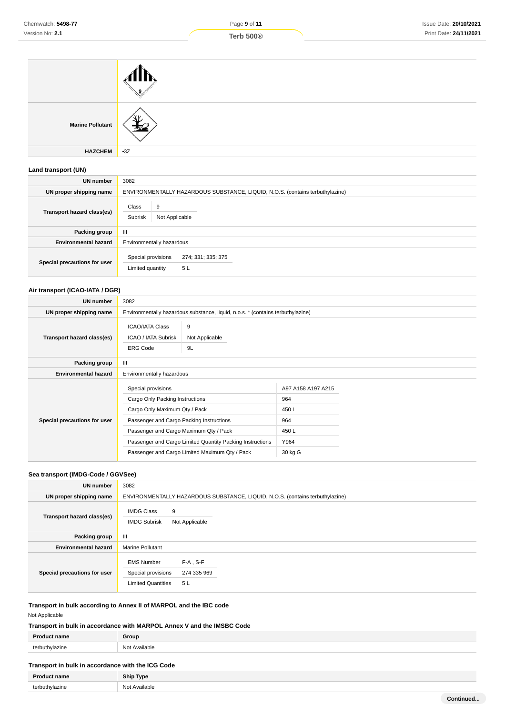| <b>Marine Pollutant</b> |       |
|-------------------------|-------|
| <b>HAZCHEM</b>          | $-3Z$ |

# **Land transport (UN)**

| <b>UN number</b>             | 3082                                    |                                                                               |  |  |  |
|------------------------------|-----------------------------------------|-------------------------------------------------------------------------------|--|--|--|
| UN proper shipping name      |                                         | ENVIRONMENTALLY HAZARDOUS SUBSTANCE, LIQUID, N.O.S. (contains terbuthylazine) |  |  |  |
| Transport hazard class(es)   | 9<br>Class<br>Subrisk<br>Not Applicable |                                                                               |  |  |  |
| Packing group                | $\mathbf{III}$                          |                                                                               |  |  |  |
| <b>Environmental hazard</b>  |                                         | Environmentally hazardous                                                     |  |  |  |
| Special precautions for user | Special provisions<br>Limited quantity  | 274; 331; 335; 375<br>5L                                                      |  |  |  |

## **Air transport (ICAO-IATA / DGR)**

| UN number                    | 3082                                                                                                                                                                         |                                                                                                             |                                                                     |  |  |
|------------------------------|------------------------------------------------------------------------------------------------------------------------------------------------------------------------------|-------------------------------------------------------------------------------------------------------------|---------------------------------------------------------------------|--|--|
| UN proper shipping name      | Environmentally hazardous substance, liquid, n.o.s. * (contains terbuthylazine)                                                                                              |                                                                                                             |                                                                     |  |  |
| Transport hazard class(es)   | <b>ICAO/IATA Class</b><br>ICAO / IATA Subrisk<br><b>ERG Code</b>                                                                                                             | 9<br>Not Applicable<br>9L                                                                                   |                                                                     |  |  |
| Packing group                | Ш                                                                                                                                                                            |                                                                                                             |                                                                     |  |  |
| <b>Environmental hazard</b>  | Environmentally hazardous                                                                                                                                                    |                                                                                                             |                                                                     |  |  |
| Special precautions for user | Special provisions<br>Cargo Only Packing Instructions<br>Cargo Only Maximum Qty / Pack<br>Passenger and Cargo Packing Instructions<br>Passenger and Cargo Maximum Qty / Pack | Passenger and Cargo Limited Quantity Packing Instructions<br>Passenger and Cargo Limited Maximum Qty / Pack | A97 A158 A197 A215<br>964<br>450L<br>964<br>450L<br>Y964<br>30 kg G |  |  |

# **Sea transport (IMDG-Code / GGVSee)**

| UN number                    | 3082                                                                 |                                                                               |  |  |  |
|------------------------------|----------------------------------------------------------------------|-------------------------------------------------------------------------------|--|--|--|
| UN proper shipping name      |                                                                      | ENVIRONMENTALLY HAZARDOUS SUBSTANCE, LIQUID, N.O.S. (contains terbuthylazine) |  |  |  |
| Transport hazard class(es)   | <b>IMDG Class</b><br><b>IMDG Subrisk</b>                             | 9<br>Not Applicable                                                           |  |  |  |
| <b>Packing group</b>         | $\mathbf{III}$                                                       |                                                                               |  |  |  |
| <b>Environmental hazard</b>  | <b>Marine Pollutant</b>                                              |                                                                               |  |  |  |
| Special precautions for user | <b>EMS Number</b><br>Special provisions<br><b>Limited Quantities</b> | $F-A$ , S-F<br>274 335 969<br>5L                                              |  |  |  |

# **Transport in bulk according to Annex II of MARPOL and the IBC code**

Not Applicable

**Transport in bulk in accordance with MARPOL Annex V and the IMSBC Code**

|        | ≩r∩⊔n     |
|--------|-----------|
| $\sim$ | N∩<br>่าค |
|        |           |

# **Transport in bulk in accordance with the ICG Code**

| Product name   | <b>Ship Type</b> |
|----------------|------------------|
| terbuthylazine | Not Available    |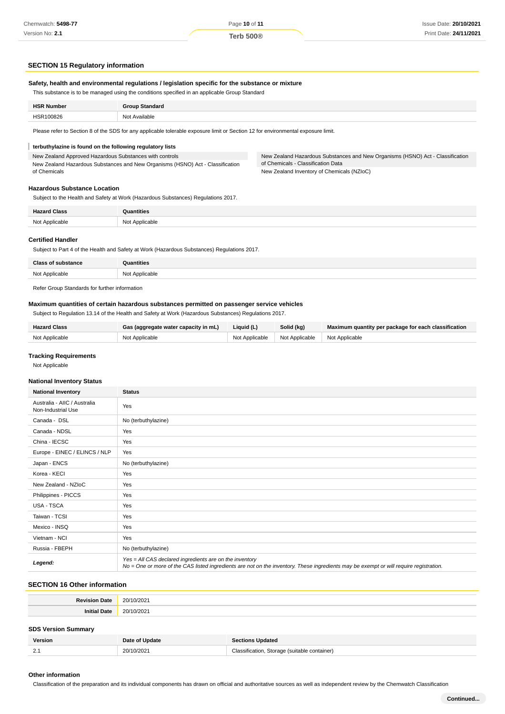## **SECTION 15 Regulatory information**

#### **Safety, health and environmental regulations / legislation specific for the substance or mixture**

This substance is to be managed using the conditions specified in an applicable Group Standard

| Available<br>HSR100826<br>Not | <b>HSR Number</b> | Standard<br>$T$ roun |  |
|-------------------------------|-------------------|----------------------|--|
|                               | .                 | .                    |  |

Please refer to Section 8 of the SDS for any applicable tolerable exposure limit or Section 12 for environmental exposure limit.

#### ī **terbuthylazine is found on the following regulatory lists**

New Zealand Approved Hazardous Substances with controls New Zealand Hazardous Substances and New Organisms (HSNO) Act - Classification of Chemicals

New Zealand Hazardous Substances and New Organisms (HSNO) Act - Classification of Chemicals - Classification Data New Zealand Inventory of Chemicals (NZIoC)

#### **Hazardous Substance Location**

Subject to the Health and Safety at Work (Hazardous Substances) Regulations 2017.

| <b>Hazard Class</b> | Quantities     |
|---------------------|----------------|
| Not Applicable      | Not Applicable |

#### **Certified Handler**

Subject to Part 4 of the Health and Safety at Work (Hazardous Substances) Regulations 2017.

| C <sub>2</sub>                | 2221AC                        |
|-------------------------------|-------------------------------|
| י הו<br>$\Delta$ panilor<br>. | ∵ ^nnlicable<br>^י<br>٦v<br>. |

Refer Group Standards for further information

#### **Maximum quantities of certain hazardous substances permitted on passenger service vehicles**

Subject to Regulation 13.14 of the Health and Safety at Work (Hazardous Substances) Regulations 2017.

| <b>Hazard Class</b> | Gas (aggregate water capacity in mL) | Liquid (L)     | Solid (kg)                    | Maximum quantity per package for each classification |
|---------------------|--------------------------------------|----------------|-------------------------------|------------------------------------------------------|
| Not Applicable      | Not Applicable                       | Not Applicable | Not Applicable Not Applicable |                                                      |

#### **Tracking Requirements**

Not Applicable

#### **National Inventory Status**

| <b>National Inventory</b>                          | <b>Status</b>                                                                                                                                                                                     |  |
|----------------------------------------------------|---------------------------------------------------------------------------------------------------------------------------------------------------------------------------------------------------|--|
| Australia - AIIC / Australia<br>Non-Industrial Use | Yes                                                                                                                                                                                               |  |
| Canada - DSL                                       | No (terbuthylazine)                                                                                                                                                                               |  |
| Canada - NDSL                                      | Yes                                                                                                                                                                                               |  |
| China - IECSC                                      | Yes                                                                                                                                                                                               |  |
| Europe - EINEC / ELINCS / NLP                      | Yes                                                                                                                                                                                               |  |
| Japan - ENCS                                       | No (terbuthylazine)                                                                                                                                                                               |  |
| Korea - KECI                                       | Yes                                                                                                                                                                                               |  |
| New Zealand - NZIoC                                | Yes                                                                                                                                                                                               |  |
| Philippines - PICCS                                | Yes                                                                                                                                                                                               |  |
| USA - TSCA                                         | Yes                                                                                                                                                                                               |  |
| Taiwan - TCSI                                      | Yes                                                                                                                                                                                               |  |
| Mexico - INSQ                                      | Yes                                                                                                                                                                                               |  |
| Vietnam - NCI                                      | Yes                                                                                                                                                                                               |  |
| Russia - FBEPH                                     | No (terbuthylazine)                                                                                                                                                                               |  |
| Legend:                                            | Yes = All CAS declared ingredients are on the inventory<br>No = One or more of the CAS listed ingredients are not on the inventory. These ingredients may be exempt or will require registration. |  |

## **SECTION 16 Other information**

| <b>Revision Date</b>       | 20/10/2021     |                                              |
|----------------------------|----------------|----------------------------------------------|
| <b>Initial Date</b>        | 20/10/2021     |                                              |
| <b>SDS Version Summary</b> |                |                                              |
| Version                    | Date of Update | <b>Sections Updated</b>                      |
| 2.1                        | 20/10/2021     | Classification, Storage (suitable container) |

#### **Other information**

Classification of the preparation and its individual components has drawn on official and authoritative sources as well as independent review by the Chemwatch Classification